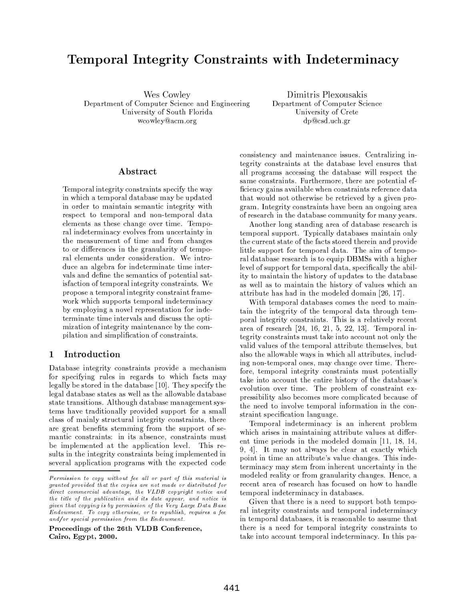# Temporal Integrity Constraints with Indeterminacy

Wes Cowley Department of Computer Science and Engineering University of South Florida wcowley@acm.org

Dimitris Plexousakis Department of Computer Science University of Crete dp@csd.uch.gr

# Abstract

Temporal integrity constraints specify the way in which a temporal database may be updated in order to maintain semantic integrity with respect to temporal and non-temporal data elements as these change over time. Temporal indeterminacy evolves from uncertainty in the measurement of time and from changes to or differences in the granularity of temporal elements under consideration. We introduce an algebra for indeterminate time intervals and define the semantics of potential satis faction of temporal integrity constraints. We propose a temporal integrity constraint framework which supports temporal indeterminacy by employing a novel representation for indeterminate time intervals and discuss the optimization of integrity maintenance by the compilation and simplification of constraints.

#### $\mathbf{1}$ Introduction

Database integrity constraints provide a mechanism for specifying rules in regards to which facts may legally be stored in the database [10]. They specify the legal database states as well as the allowable database state transitions. Although database management systems have traditionally provided support for a small class of mainly structural integrity constraints, there are great benefits stemming from the support of semantic constraints: in its absence, constraints must be implemented at the application level. This results in the integrity constraints being implemented in several application programs with the expected code

Proceedings of the 26th VLDB Conference, Cairo, Egypt, 2000.

consistency and maintenance issues. Centralizing integrity constraints at the database level ensures that all programs accessing the database will respect the same constraints. Furthermore, there are potential efficiency gains available when constraints reference data that would not otherwise be retrieved by a given program. Integrity constraints have been an ongoing area of research in the database community for many years.

Another long standing area of database research is temporal support. Typically databases maintain only the current state of the facts stored therein and provide little support for temporal data. The aim of temporal database research is to equip DBMSs with a higher level of support for temporal data, specifically the ability to maintain the history of updates to the database as well as to maintain the history of values which an attribute has had in the modeled domain [26, 17].

With temporal databases comes the need to maintain the integrity of the temporal data through temporal integrity constraints. This is a relatively recent area of research [24, 16, 21, 5, 22, 13]. Temporal integrity constraints must take into account not only the valid values of the temporal attribute themselves, but also the allowable ways in which all attributes, including non-temporal ones, may change over time. Therefore, temporal integrity constraints must potentially take into account the entire history of the database's evolution over time. The problem of constraint expressibility also becomes more complicated because of the need to involve temporal information in the constraint specification language.

Temporal indeterminacy is an inherent problem which arises in maintaining attribute values at different time periods in the modeled domain  $[11, 18, 14,$ 9, 4. It may not always be clear at exactly which point in time an attribute's value changes. This indeterminacy may stem from inherent uncertainty in the modeled reality or from granularity changes. Hence, a recent area of research has focused on how to handle temporal indeterminacy in databases.

Given that there is a need to support both temporal integrity constraints and temporal indeterminacy in temporal databases, it is reasonable to assume that there is a need for temporal integrity constraints to take into account temporal indeterminacy. In this pa-

Permission to copy without fee all or part of this material is granted provided that the copies are not made or distributed for direct commercial advantage, the VLDB copyright notice and the title of the publication and its date appear, and notice is given that copying is by permission of the Very Large Data Base Endowment. To copy otherwise, or to republish, requires a fee and/or special permission from the Endowment.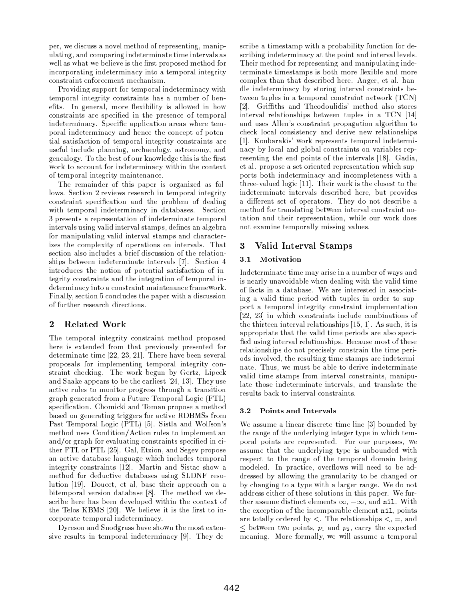per, we discuss a novel method of representing, manipulating, and comparing indeterminate time intervals as well as what we believe is the first proposed method for incorporating indeterminacy into a temporal integrity constraint enforcement mechanism.

Providing support for temporal indeterminacy with temporal integrity constraints has a number of benefits. In general, more flexibility is allowed in how constraints are specified in the presence of temporal indeterminacy. Specific application areas where temporal indeterminacy and hence the concept of potential satisfaction of temporal integrity constraints are useful include planning, archaeology, astronomy, and genealogy. To the best of our knowledge this is the first work to account for indeterminacy within the context of temporal integrity maintenance.

The remainder of this paper is organized as follows. Section 2 reviews research in temporal integrity constraint specification and the problem of dealing with temporal indeterminacy in databases. Section 3 presents a representation of indeterminate temporal intervals using valid interval stamps, defines an algebra for manipulating valid interval stamps and characterizes the complexity of operations on intervals. That section also includes a brief discussion of the relationships between indeterminate intervals [7]. Section 4 introduces the notion of potential satisfaction of integrity constraints and the integration of temporal indeterminacy into a constraint maintenance framework. Finally, section 5 concludes the paper with a discussion of further research directions.

### $\overline{2}$ **Related Work**

The temporal integrity constraint method proposed here is extended from that previously presented for determinate time  $[22, 23, 21]$ . There have been several proposals for implementing temporal integrity constraint checking. The work begun by Gertz, Lipeck and Saake appears to be the earliest [24, 13]. They use active rules to monitor progress through a transition graph generated from a Future Temporal Logic (FTL) specification. Chomicki and Toman propose a method based on generating triggers for active RDBMSs from Past Temporal Logic (PTL) [5]. Sistla and Wolfson's method uses Condition/Action rules to implement an and/or graph for evaluating constraints specified in either FTL or PTL [25]. Gal, Etzion, and Segev propose an active database language which includes temporal integrity constraints [12]. Martin and Sistac show a method for deductive databases using SLDNF resolution [19]. Doucet, et al, base their approach on a bitemporal version database [8]. The method we describe here has been developed within the context of the Telos KBMS [20]. We believe it is the first to incorporate temporal indeterminacy.

Dyreson and Snodgrass have shown the most extensive results in temporal indeterminacy [9]. They describe a timestamp with a probability function for describing indeterminacy at the point and interval levels. Their method for representing and manipulating indeterminate timestamps is both more flexible and more complex than that described here. Anger, et al. handle indeterminacy by storing interval constraints between tuples in a temporal constraint network (TCN) [2]. Griffiths and Theodoulidis' method also stores interval relationships between tuples in a TCN [14] and uses Allen's constraint propagation algorithm to check local consistency and derive new relationships [1]. Koubarakis' work represents temporal indeterminacy by local and global constraints on variables representing the end points of the intervals [18]. Gadia, et al. propose a set oriented representation which supports both indeterminacy and incompleteness with a three-valued logic [11]. Their work is the closest to the indeterminate intervals described here, but provides a different set of operators. They do not describe a method for translating between interval constraint notation and their representation, while our work does not examine temporally missing values.

### Valid Interval Stamps 3

### Motivation 3.1

Indeterminate time may arise in a number of ways and is nearly unavoidable when dealing with the valid time of facts in a database. We are interested in associating a valid time period with tuples in order to support a temporal integrity constraint implementation [22, 23] in which constraints include combinations of the thirteen interval relationships [15, 1]. As such, it is appropriate that the valid time periods are also specified using interval relationships. Because most of these relationships do not precisely constrain the time periods involved, the resulting time stamps are indeterminate. Thus, we must be able to derive indeterminate valid time stamps from interval constraints, manipulate those indeterminate intervals, and translate the results back to interval constraints.

### 3.2 Points and Intervals

We assume a linear discrete time line [3] bounded by the range of the underlying integer type in which temporal points are represented. For our purposes, we assume that the underlying type is unbounded with respect to the range of the temporal domain being modeled. In practice, overflows will need to be addressed by allowing the granularity to be changed or by changing to a type with a larger range. We do not address either of these solutions in this paper. We further assume distinct elements  $\infty$ ,  $-\infty$ , and nil. With the exception of the incomparable element nil, points are totally ordered by  $\lt$ . The relationships  $\lt$ , =, and  $\leq$  between two points,  $p_1$  and  $p_2$ , carry the expected meaning. More formally, we will assume a temporal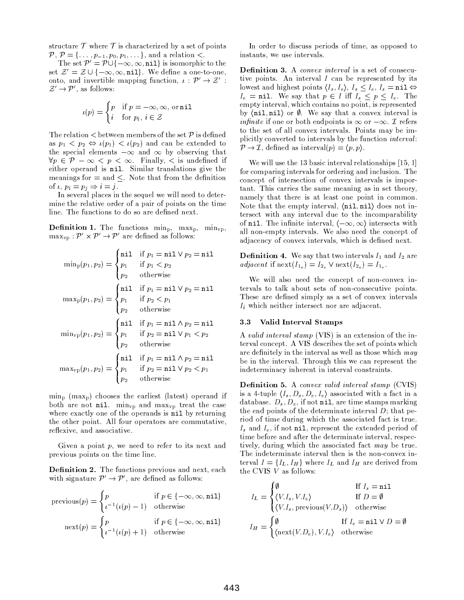structure  $\mathcal T$  where  $\mathcal T$  is characterized by a set of points  $P, P = \{ \ldots, p_{-1}, p_0, p_1, \ldots \}$ , and a relation  $\lt$ .

The set  $\mathcal{P}' = \mathcal{P} \cup \{-\infty, \infty, \texttt{nil}\}$  is isomorphic to the set  $\mathcal{Z}' = \mathcal{Z} \cup \{-\infty, \infty, \texttt{nil}\}.$  We define a one-to-one, onto, and invertible mapping function,  $\iota : \mathcal{P}' \to \mathcal{Z}'$ :  $\mathcal{Z}' \rightarrow \mathcal{P}'$ , as follows:

$$
\iota(p) = \begin{cases} p & \text{if } p = -\infty, \infty, \text{ or nil} \\ i & \text{for } p_i, i \in \mathcal{Z} \end{cases}
$$

The relation  $\lt$  between members of the set  $P$  is defined as  $p_1 \nless p_2 \Leftrightarrow \iota(p_1) \nless \iota(p_2)$  and can be extended to the special elements  $-\infty$  and  $\infty$  by observing that  $\forall p \in \mathcal{P} - \infty < p < \infty$ . Finally,  $\lt$  is undefined if either operand is nil. Similar translations give the meanings for  $=$  and  $\leq$ . Note that from the definition of  $\iota$ ,  $p_i = p_j \Rightarrow i = j$ .

In several places in the sequel we will need to determine the relative order of a pair of points on the time line. The functions to do so are defined next.

**Definition 1.** The functions  $\min_{p_1}$   $\max_{p_2}$ ,  $\min_{\text{vp}_2}$  $\max_{\mathbf{vp}} : \mathcal{P}' \times \mathcal{P}' \rightarrow \mathcal{P}'$  are defined as follows:

$$
\min_{p}(p_1, p_2) = \begin{cases}\n\min_{p_1} & \text{if } p_1 = \min \vee p_2 = \min \\ \np_1 & \text{if } p_1 < p_2 \\
p_2 & \text{otherwise}\n\end{cases}
$$
\n
$$
\max_{p}(p_1, p_2) = \begin{cases}\n\min_{p_1} & \text{if } p_2 < p_1 \\
p_1 & \text{if } p_2 < p_1 \\
p_2 & \text{otherwise}\n\end{cases}
$$
\n
$$
\min_{\text{vp}}(p_1, p_2) = \begin{cases}\n\min_{p_1} & \text{if } p_1 = \min \wedge p_2 = \min \\ \np_1 & \text{if } p_2 = \min \vee p_1 < p_2 \\
p_2 & \text{otherwise}\n\end{cases}
$$
\n
$$
\max_{\text{vp}}(p_1, p_2) = \begin{cases}\n\min_{p_1} & \text{if } p_1 = \min \wedge p_2 = \min \\ \np_1 & \text{if } p_2 = \min \vee p_2 < p_1 \\
p_2 & \text{otherwise}\n\end{cases}
$$

 $\min_{p}$  (max<sub>p</sub>) chooses the earliest (latest) operand if both are not  $nil$ .  $\min_{vp}$  and  $\max_{vp}$  treat the case where exactly one of the operands is nil by returning the other point. All four operators are commutative, reflexive, and associative.

Given a point  $p$ , we need to refer to its next and previous points on the time line.

**Definition 2.** The functions previous and next, each with signature  $\mathcal{P}' \rightarrow \mathcal{P}'$ , are defined as follows:

$$
\text{previous}(p) = \begin{cases} p & \text{if } p \in \{-\infty, \infty, \text{nil}\} \\ \iota^{-1}(\iota(p) - 1) & \text{otherwise} \end{cases}
$$
\n
$$
\text{next}(p) = \begin{cases} p & \text{if } p \in \{-\infty, \infty, \text{nil}\} \\ \iota^{-1}(\iota(p) + 1) & \text{otherwise} \end{cases}
$$

In order to discuss periods of time, as opposed to instants, we use intervals.

**Definition 3.** A *convex interval* is a set of consecutive points. An interval  $I$  can be represented by its lowest and highest points  $\langle I_s, I_e \rangle$ ,  $I_s \leq I_e$ ,  $I_s = \texttt{nil} \Leftrightarrow$  $I_e$  = nil. We say that  $p \in I$  iff  $I_s \leq p \leq I_e$ . The empty interval, which contains no point, is represented by  $\langle$ nil, nil) or  $\emptyset$ . We say that a convex interval is *infinite* if one or both endpoints is  $\infty$  or  $-\infty$ . *T* refers to the set of all convex intervals. Points may be implicitly converted to intervals by the function *interval*:  $\mathcal{P} \to \mathcal{I}$ , defined as interval $(p) = \langle p, p \rangle$ .

We will use the 13 basic interval relationships  $[15, 1]$ for comparing intervals for ordering and inclusion. The concept of intersection of convex intervals is important. This carries the same meaning as in set theory, namely that there is at least one point in common. Note that the empty interval,  $\langle \texttt{nil}, \texttt{nil} \rangle$  does not intersect with any interval due to the incomparability of nil. The infinite interval,  $\langle -\infty, \infty \rangle$  intersects with all non-empty intervals. We also need the concept of adjacency of convex intervals, which is defined next.

**Definition 4.** We say that two intervals  $I_1$  and  $I_2$  are *adjacent* if  $\text{next}(I_{1_e}) = I_{2_s} \vee \text{next}(I_{2_e}) = I_{1_s}$ .

We will also need the concept of non-convex intervals to talk about sets of non-consecutive points. These are defined simply as a set of convex intervals  $I_i$  which neither intersect nor are adjacent.

#### Valid Interval Stamps 3.3

 $\overline{a}$ 

A valid interval stamp (VIS) is an extension of the interval concept. A VIS describes the set of points which are definitely in the interval as well as those which may be in the interval. Through this we can represent the indeterminacy inherent in interval constraints.

**Definition 5.** A convex valid interval stamp (CVIS) is a 4-tuple  $\langle I_s, D_s, D_e, I_e \rangle$  associated with a fact in a database.  $D_s$ ,  $D_e$ , if not nil, are time stamps marking the end points of the determinate interval  $D$ ; that period of time during which the associated fact is true.  $I_s$  and  $I_e$ , if not nil, represent the extended period of time before and after the determinate interval, respectively, during which the associated fact may be true. The indeterminate interval then is the non-convex interval  $I = \{I_L, I_H\}$  where  $I_L$  and  $I_H$  are derived from the CVIS  $V$  as follows:

$$
I_L = \begin{cases} \emptyset & \text{if } I_s = \texttt{nil} \\ \langle V.I_s, V.I_e \rangle & \text{if } D = \emptyset \\ \langle V.I_s, \text{previous}(V.D_s) \rangle & \text{otherwise} \end{cases}
$$

$$
I_H = \begin{cases} \emptyset & \text{if } I_e = \texttt{nil} \lor D = \emptyset \\ \langle \text{next}(V.D_e), V.I_e \rangle & \text{otherwise} \end{cases}
$$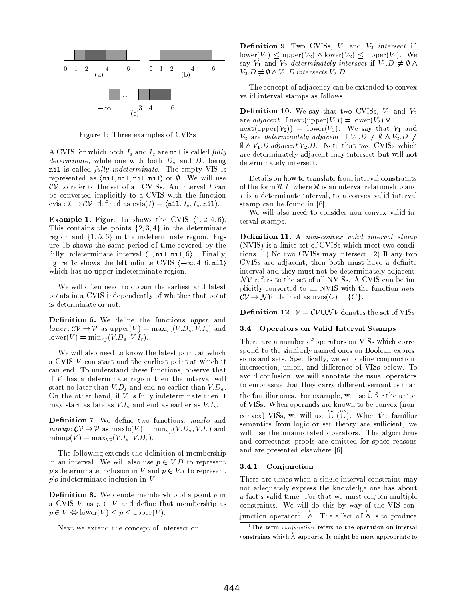

Figure 1: Three examples of CVISs

A CVIS for which both  $I_s$  and  $I_e$  are nil is called fully *determinate*, while one with both  $D_s$  and  $D_e$  being nil is called fully indeterminate. The empty VIS is represented as  $\langle \text{nil}, \text{nil}, \text{nil}, \text{nil} \rangle$  or  $\emptyset$ . We will use  $CV$  to refer to the set of all CVISs. An interval I can be converted implicitly to a CVIS with the function cvis:  $\mathcal{I} \to \mathcal{CV}$ , defined as cvis(I) =  $\langle \texttt{nil}, I_s, I_e, \texttt{nil} \rangle$ .

**Example 1.** Figure 1a shows the CVIS  $\langle 1, 2, 4, 6 \rangle$ . This contains the points  $\{2,3,4\}$  in the determinate region and  $\{1, 5, 6\}$  in the indeterminate region. Figure 1b shows the same period of time covered by the fully indeterminate interval  $\langle 1, \text{nil}, \text{nil}, 6 \rangle$ . Finally, figure 1c shows the left infinite CVIS  $\langle -\infty, 4, 6, \texttt{nil} \rangle$ which has no upper indeterminate region.

We will often need to obtain the earliest and latest points in a CVIS independently of whether that point is determinate or not.

Definition 6. We define the functions upper and lower:  $CV \to P$  as upper(V) = max<sub>vp</sub>(V.D<sub>e</sub>, V.I<sub>e</sub>) and lower(V) =  $\min_{vp}(V.D_s, V.I_s)$ .

We will also need to know the latest point at which a CVIS V can start and the earliest point at which it can end. To understand these functions, observe that if  $V$  has a determinate region then the interval will start no later than  $V.D<sub>s</sub>$  and end no earlier than  $V.D<sub>e</sub>$ . On the other hand, if  $V$  is fully indeterminate then it may start as late as  $V.I_e$  and end as earlier as  $V.I_s$ .

Definition 7. We define two functions, maxlo and  $minup: CV \rightarrow \mathcal{P}$  as  $maxlo(V) = min_{vp}(V.D_s, V.I_e)$  and  $\text{minup}(V) = \text{max}_{\text{vp}}(V.I_s, V.D_e).$ 

The following extends the definition of membership in an interval. We will also use  $p \in V.D$  to represent p's determinate inclusion in V and  $p \in V.I$  to represent  $p$ 's indeterminate inclusion in  $V$ .

**Definition 8.** We denote membership of a point  $p$  in a CVIS V as  $p \in V$  and define that membership as  $p \in V \Leftrightarrow \text{lower}(V) \leq p \leq \text{upper}(V).$ 

Next we extend the concept of intersection.

**Definition 9.** Two CVISs,  $V_1$  and  $V_2$  intersect if:  $lower(V_1)$  < upper $(V_2)$   $\wedge$  lower $(V_2)$  < upper $(V_1)$ . We say  $V_1$  and  $V_2$  determinately intersect if  $V_1.D \neq \emptyset \wedge$  $V_2 \tD \neq \emptyset \wedge V_1 \tD$  intersects  $V_2 \tD$ .

The concept of adjacency can be extended to convex valid interval stamps as follows.

**Definition 10.** We say that two CVISs,  $V_1$  and  $V_2$ are *adjacent* if  $\operatorname{next}(\operatorname{upper}(V_1)) = \operatorname{lower}(V_2)$   $\vee$  $next(upper(V_2)) = lower(V_1)$ . We say that  $V_1$  and  $V_2$  are *determinately adjacent* if  $V_1.D \neq \emptyset \land V_2.D \neq \emptyset$  $\emptyset \wedge V_1$ . *D* adjacent  $V_2$ . *D*. Note that two CVISs which are determinately adjacent may intersect but will not determinately intersect.

Details on how to translate from interval constraints of the form  $R$  I, where  $R$  is an interval relationship and  $I$  is a determinate interval, to a convex valid interval stamp can be found in [6].

We will also need to consider non-convex valid interval stamps.

Definition 11. A non-convex valid interval stamp (NVIS) is a finite set of CVISs which meet two conditions. 1) No two CVISs may intersect. 2) If any two CVISs are adjacent, then both must have a definite interval and they must not be determinately adjacent.  $\mathcal{N}V$  refers to the set of all NVISs. A CVIS can be implicitly converted to an NVIS with the function nvis:  $CV \to \mathcal{NV}$ , defined as  $nvis(C) = \{C\}.$ 

**Definition 12.**  $V = CV \cup AV$  denotes the set of VISs.

# 3.4 Operators on Valid Interval Stamps

There are a number of operators on VISs which correspond to the similarly named ones on Boolean expressions and sets. Specifically, we will define conjunction, intersection, union, and difference of VISs below. To avoid confusion, we will annotate the usual operators to emphasize that they carry different semantics than the familiar ones. For example, we use  $\cup$  for the union of VISs. When operands are known to be convex (nonconvex) VISs, we will use  $\bigcup_{i=1}^{\infty} \bigcup_{i=1}^{n}$ . When the familiar semantics from logic or set theory are sufficient, we will use the unannotated operators. The algorithms and correctness proofs are omitted for space reasons and are presented elsewhere [6].

#### Conjunction 3.4.1

There are times when a single interval constraint may not adequately express the knowledge one has about a fact's valid time. For that we must conjoin multiple constraints. We will do this by way of the VIS con-<br>junction operator<sup>1</sup>:  $\stackrel{v}{\wedge}$ . The effect of  $\stackrel{v}{\wedge}$  is to produce

<sup>&</sup>lt;sup>1</sup>The term *conjunction* refers to the operation on interval constraints which  $\stackrel{v}{\wedge}$  supports. It might be more appropriate to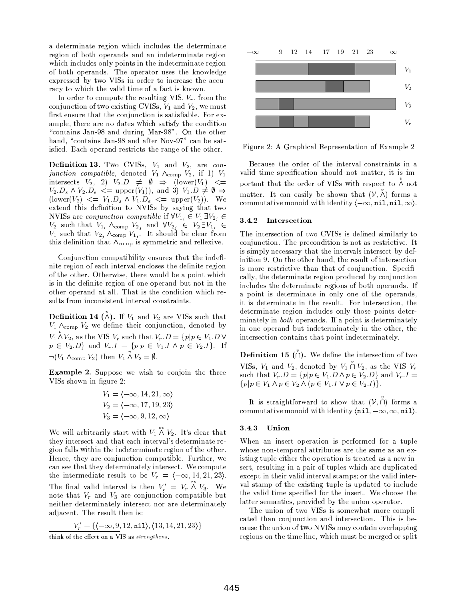a determinate region which includes the determinate region of both operands and an indeterminate region which includes only points in the indeterminate region of both operands. The operator uses the knowledge expressed by two VISs in order to increase the accuracy to which the valid time of a fact is known.

In order to compute the resulting VIS,  $V_r$ , from the conjunction of two existing CVISs,  $V_1$  and  $V_2$ , we must first ensure that the conjunction is satisfiable. For example, there are no dates which satisfy the condition "contains Jan-98 and during Mar-98". On the other hand, "contains Jan-98 and after Nov-97" can be satisfied. Each operand restricts the range of the other.

**Definition 13.** Two CVISs,  $V_1$  and  $V_2$ , are conjunction compatible, denoted  $V_1 \wedge_{\text{comp}} V_2$ , if 1)  $V_1$ intersects  $V_2$ , 2)  $V_2.D \neq \emptyset \Rightarrow (\text{lower}(V_1) <)$  $V_2.D_s \wedge V_2.D_e \leq \text{upper}(V_1)$ , and 3)  $V_1.D \neq \emptyset \Rightarrow$  $(\text{lower}(V_2) \leq V_1.D_s \wedge V_1.D_e \leq \text{upper}(V_2)).$  We extend this definition to NVISs by saying that two NVISs are *conjunction compatible* if  $\forall V_{1_i} \in V_1 \exists V_{2_i} \in$  $V_2$  such that  $V_{1_i} \wedge_{\text{comp}} V_{2_j}$  and  $\forall V_{2_j} \in V_2 \exists V_{1_i} \in V_1$  such that  $V_{2_j} \wedge_{\text{comp}} V_{1_i}$ . It should be clear from this definition that  $\Lambda_{\text{comp}}$  is symmetric and reflexive.

Conjunction compatibility ensures that the indefinite region of each interval encloses the definite region of the other. Otherwise, there would be a point which is in the definite region of one operand but not in the other operand at all. That is the condition which results from inconsistent interval constraints.

**Definition 14** ( $\stackrel{v}{\wedge}$ ). If  $V_1$  and  $V_2$  are VISs such that  $V_1$   $\wedge_{\text{comp}} V_2$  we define their conjunction, denoted by  $V_1 \overset{\nu}{\wedge} V_2$ , as the VIS  $V_r$  such that  $V_r.D = \{p|p \in V_1.D \vee p \in V_2.D\}$  and  $V_r.I = \{p|p \in V_1.I \wedge p \in V_2.I\}$ . If  $\neg(V_1 \wedge_{\text{comp}} V_2)$  then  $V_1 \wedge V_2 = \emptyset$ .

Example 2. Suppose we wish to conjoin the three VISs shown in figure 2:

$$
V_1 = \langle -\infty, 14, 21, \infty \rangle
$$
  
\n
$$
V_2 = \langle -\infty, 17, 19, 23 \rangle
$$
  
\n
$$
V_3 = \langle -\infty, 9, 12, \infty \rangle
$$

We will arbitrarily start with  $V_1 \overset{\sim}{\wedge} V_2$ . It's clear that they intersect and that each interval's determinate region falls within the indeterminate region of the other. Hence, they are conjunction compatible. Further, we can see that they determinately intersect. We compute the intermediate result to be  $V_r = \langle -\infty, 14, 21, 23 \rangle$ . The final valid interval is then  $V'_r = V_r \stackrel{cv}{\wedge} V_3$ . We note that  $V_r$  and  $V_3$  are conjunction compatible but neither determinately intersect nor are determinately adjacent. The result then is:

$$
V_r' = \{ \langle -\infty, 9, 12, \text{nil} \rangle, \langle 13, 14, 21, 23 \rangle \}
$$

think of the effect on a VIS as strengthens.



Figure 2: A Graphical Representation of Example 2

Because the order of the interval constraints in a valid time specification should not matter, it is important that the order of VISs with respect to  $\stackrel{v}{\wedge}$  not matter. It can easily be shown that  $(V, \overset{v}{\wedge})$  forms a commutative monoid with identity  $\langle -\infty, \texttt{nil}, \texttt{nil}, \infty \rangle$ .

## 3.4.2 Intersection

The intersection of two CVISs is defined similarly to conjunction. The precondition is not as restrictive. It is simply necessary that the intervals intersect by definition 9. On the other hand, the result of intersection is more restrictive than that of conjunction. Specifically, the determinate region produced by conjunction includes the determinate regions of both operands. If a point is determinate in only one of the operands, it is determinate in the result. For intersection, the determinate region includes only those points determinately in *both* operands. If a point is determinately in one operand but indeterminately in the other, the intersection contains that point indeterminately.

**Definition 15** ( $\cap$ ). We define the intersection of two VISs,  $V_1$  and  $V_2$ , denoted by  $V_1 \cap V_2$ , as the VIS  $V_r$  such that  $V_r.D = \{p|p \in V_1.D \land p \in V_2.D\}$  and  $V_r.I =$  $\{p | p \in V_1 \land p \in V_2 \land (p \in V_1 \cup V p \in V_2 \cup V).$ 

It is straightforward to show that  $(V, \tilde{\cap})$  forms a commutative monoid with identity  $\langle \texttt{nil}, -\infty, \infty, \texttt{nil} \rangle$ .

# 3.4.3 Union

When an insert operation is performed for a tuple whose non-temporal attributes are the same as an existing tuple either the operation is treated as a new insert, resulting in a pair of tuples which are duplicated except in their valid interval stamps; or the valid interval stamp of the existing tuple is updated to include the valid time specified for the insert. We choose the latter semantics, provided by the union operator.

The union of two VISs is somewhat more complicated than conjunction and intersection. This is because the union of two NVISs may contain overlapping regions on the time line, which must be merged or split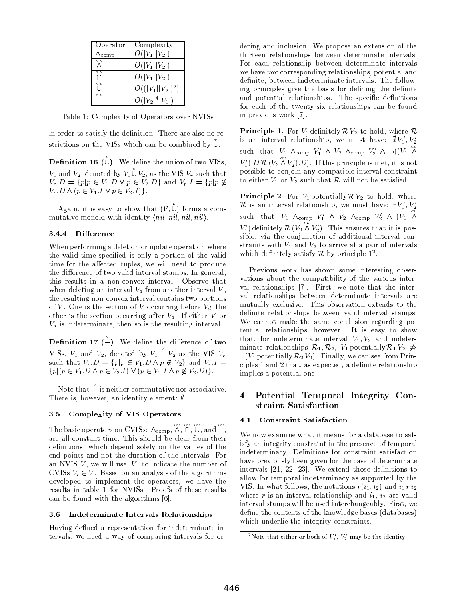| Operator                      | Complexity          |
|-------------------------------|---------------------|
| $\Lambda_{\rm comp}$          | $O( V_1  V_2 )$     |
| $n_i$                         | $O( V_1  V_2 )$     |
| $n\,v$                        | $O( V_1  V_2 )$     |
| $n\,v$                        | $O(( V_1  V_2 )^2)$ |
| $\overline{n}$ $\overline{v}$ | $O( V_2 ^4 V_1 )$   |

Table 1: Complexity of Operators over NVISs

in order to satisfy the definition. There are also no restrictions on the VISs which can be combined by U.

**Definition 16** ( $\cup$ ). We define the union of two VISs,  $V_1$  and  $V_2$ , denoted by  $V_1 \overset{v}{\cup} V_2$ , as the VIS  $V_r$  such that  $V_r.D = \{p|p \in V_1.D \lor p \in V_2.D\}$  and  $V_r.I = \{p|p \notin V_1 \}$  $V_r.D \wedge (p \in V_1.I \vee p \in V_2.I)$ .

Again, it is easy to show that  $(V, \mathring{U})$  forms a commutative monoid with identity  $\langle nil, nil, nil, nil \rangle$ .

# 3.4.4 Difference

When performing a deletion or update operation where the valid time specified is only a portion of the valid time for the affected tuples, we will need to produce the difference of two valid interval stamps. In general, this results in a non-convex interval. Observe that when deleting an interval  $V_d$  from another interval V, the resulting non-convex interval contains two portions of V. One is the section of V occurring before  $V_d$ , the other is the section occurring after  $V_d$ . If either V or  $V_d$  is indeterminate, then so is the resulting interval.

**Definition 17**  $\left(-\right)$ . We define the difference of two VISs,  $V_1$  and  $V_2$ , denoted by  $V_1 \stackrel{v}{\text{---}} V_2$  as the VIS  $V_r$ <br>such that  $V_r.D = \{p|p \in V_1.D \land p \notin V_2\}$  and  $V_r.I =$  ${p | (p \in V_1 \cdot D \wedge p \in V_2 \cdot I) \vee (p \in V_1 \cdot I \wedge p \notin V_2 \cdot D) }$ .

Note that  $\frac{v}{x}$  is neither commutative nor associative. There is, however, an identity element:  $\emptyset$ .

#### **Complexity of VIS Operators** 3.5

The basic operators on CVISs:  $\wedge_{comp}$ ,  $\overset{cv}{\wedge}$ ,  $\overset{cv}{\cap}$ ,  $\overset{cv}{\cup}$ , and  $\overset{cv}{\mathbb{-}}$ , are all constant time. This should be clear from their definitions, which depend solely on the values of the end points and not the duration of the intervals. For an NVIS V, we will use |V| to indicate the number of CVISs  $V_i \in V$ . Based on an analysis of the algorithms developed to implement the operators, we have the results in table 1 for NVISs. Proofs of these results can be found with the algorithms [6].

#### Indeterminate Intervals Relationships  $3.6\,$

Having defined a representation for indeterminate intervals, we need a way of comparing intervals for ordering and inclusion. We propose an extension of the thirteen relationships between determinate intervals. For each relationship between determinate intervals we have two corresponding relationships, potential and definite, between indeterminate intervals. The following principles give the basis for defining the definite and potential relationships. The specific definitions for each of the twenty-six relationships can be found in previous work [7].

**Principle 1.** For  $V_1$  definitely  $\mathcal{R} V_2$  to hold, where  $\mathcal{R}$ is an interval relationship, we must have:  $\sharp V'_1, V'_2$ <br>such that  $V_1 \wedge_{\text{comp}} V'_1 \wedge V_2 \wedge_{\text{comp}} V'_2 \wedge \neg((V_1 \wedge$  $V'_1$ ).  $D \mathcal{R} (V_2 \overset{cv}{\wedge} V'_2)$ . If this principle is met, it is not possible to conjoin any compatible interval constraint to either  $V_1$  or  $V_2$  such that  $\mathcal R$  will not be satisfied.

**Principle 2.** For  $V_1$  potentially  $\mathcal{R} V_2$  to hold, where  $\mathcal{R}$  is an interval relationship, we must have:  $\exists V_1', V_2'$ such that  $V_1 \wedge_{comp} V'_1 \wedge V_2 \wedge_{comp} V'_2 \wedge (V_1 \wedge^{cv} V'_2)$  $V'_1$  definitely  $\mathcal{R}$   $(V_2 \overset{ev}{\wedge} V'_2)$ . This ensures that it is possible, via the conjunction of additional interval constraints with  $V_1$  and  $V_2$  to arrive at a pair of intervals which definitely satisfy  $R$  by principle  $1^2$ .

Previous work has shown some interesting observations about the compatibility of the various interval relationships [7]. First, we note that the interval relationships between determinate intervals are mutually exclusive. This observation extends to the definite relationships between valid interval stamps. We cannot make the same conclusion regarding potential relationships, however. It is easy to show that, for indeterminate interval  $V_1, V_2$  and indeterminate relationships  $\mathcal{R}_1, \mathcal{R}_2, V_1$  potentially  $\mathcal{R}_1 V_2 \nightharpoonup$  $\neg(V_1 \text{ potentially } \mathcal{R}_2 V_2)$ . Finally, we can see from Principles 1 and 2 that, as expected, a definite relationship implies a potential one.

### Potential Temporal Integrity Con- $\overline{\bf{4}}$ straint Satisfaction

#### **Constraint Satisfaction** 4.1

We now examine what it means for a database to satisfy an integrity constraint in the presence of temporal indeterminacy. Definitions for constraint satisfaction have previously been given for the case of determinate intervals [21, 22, 23]. We extend those definitions to allow for temporal indeterminacy as supported by the VIS. In what follows, the notations  $r(i_1, i_2)$  and  $i_1 r i_2$ where r is an interval relationship and  $i_1$ ,  $i_2$  are valid interval stamps will be used interchangeably. First, we define the contents of the knowledge bases (databases) which underlie the integrity constraints.

<sup>&</sup>lt;sup>2</sup>Note that either or both of  $V_1'$ ,  $V_2'$  may be the identity.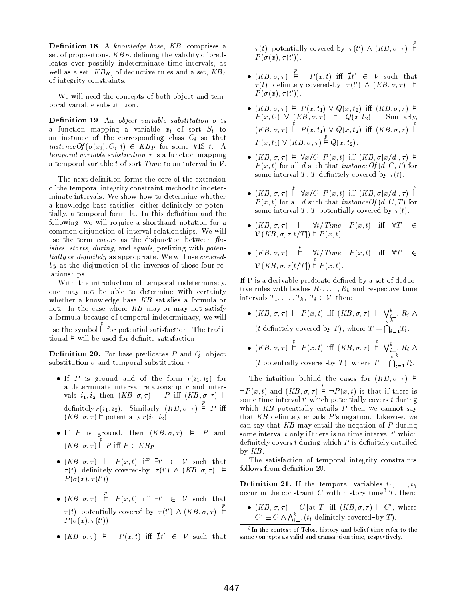Definition 18. A knowledge base, KB, comprises a set of propositions,  $KB_P$ , defining the validity of predicates over possibly indeterminate time intervals, as well as a set,  $KB_R$ , of deductive rules and a set,  $KB_I$ of integrity constraints.

We will need the concepts of both object and temporal variable substitution.

**Definition 19.** An object variable substitution  $\sigma$  is a function mapping a variable  $x_i$  of sort  $S_i$  to an instance of the corresponding class  $C_i$  so that instance  $Of(\sigma(x_i), C_i, t) \in KB_P$  for some VIS t. A *temporal variable substitution*  $\tau$  is a function mapping a temporal variable t of sort Time to an interval in  $\mathcal V$ .

The next definition forms the core of the extension of the temporal integrity constraint method to indeterminate intervals. We show how to determine whether a knowledge base satisfies, either definitely or potentially, a temporal formula. In this definition and the following, we will require a shorthand notation for a common disjunction of interval relationships. We will use the term *covers* as the disjunction between fin*ishes, starts, during, and equals, prefixing with potentially* or *definitely* as appropriate. We will use *covered*by as the disjunction of the inverses of those four relationships.

With the introduction of temporal indeterminacy, one may not be able to determine with certainty whether a knowledge base  $KB$  satisfies a formula or not. In the case where KB may or may not satisfy a formula because of temporal indeterminacy, we will use the symbol  $\models$  for potential satisfaction. The traditional  $\models$  will be used for definite satisfaction.

**Definition 20.** For base predicates  $P$  and  $Q$ , object substitution  $\sigma$  and temporal substitution  $\tau$ :

- If P is ground and of the form  $r(i_1, i_2)$  for a determinate interval relationship  $r$  and intervals  $i_1, i_2$  then  $(KB, \sigma, \tau) \models P$  iff  $(KB, \sigma, \tau) \models$ definitely  $r(i_1, i_2)$ . Similarly,  $(KB, \sigma, \tau) \stackrel{p}{\vdash} P$  iff  $(KB, \sigma, \tau) \vDash$  potentially  $r(i_1, i_2)$
- If P is ground, then  $(KB, \sigma, \tau) \models P$  and  $(KB, \sigma, \tau) \stackrel{p}{\models} P$  iff  $P \in KB_P$ .
- $(KB, \sigma, \tau)$   $\models$   $P(x, t)$  iff  $\exists t' \in V$  such that  $\tau(t)$  definitely covered-by  $\tau(t') \wedge (KB, \sigma, \tau) \models$  $P(\sigma(x), \tau(t'))$ .
- $(KB, \sigma, \tau)$   $\stackrel{p}{\models}$   $P(x, t)$  iff  $\exists t' \in V$  such that  $\tau(t)$  potentially covered-by  $\tau(t') \wedge (KB, \sigma, \tau) \stackrel{p}{\models}$  $P(\sigma(x), \tau(t'))$ .
- $(KB, \sigma, \tau)$   $\models \neg P(x, t)$  iff  $\nexists t' \in \mathcal{V}$  such that

 $\tau(t)$  potentially covered-by  $\tau(t') \wedge (KB, \sigma, \tau) \stackrel{P}{\models}$  $P(\sigma(x), \tau(t'))$ .

- $(KB, \sigma, \tau) \stackrel{p}{\vdash} \neg P(x, t)$  iff  $\nexists t' \in \mathcal{V}$  such that  $\tau(t)$  definitely covered-by  $\tau(t') \wedge (KB, \sigma, \tau)$   $\models$  $P(\sigma(x), \tau(t'))$ .
- $(KB, \sigma, \tau) \models P(x, t_1) \lor Q(x, t_2)$  iff  $(KB, \sigma, \tau) \models P(x, t_1) \lor (KB, \sigma, \tau) \models Q(x, t_2)$ . Similarly,  $(KB,\sigma,\tau) \stackrel{p}{\vdash} P(x,t_1) \vee Q(x,t_2)$  iff  $(KB,\sigma,\tau) \stackrel{p}{\vdash}$  $P(x,t_1) \vee (KB,\sigma,\tau) \stackrel{p}{\models} Q(x,t_2).$
- $(KB, \sigma, \tau) \models \forall x / C \ P(x, t)$  iff  $(KB, \sigma[x/d], \tau) \models$  $P(x, t)$  for all d such that *instance Of* (d, C, T) for some interval T, T definitely covered-by  $\tau(t)$ .
- $(KB, \sigma, \tau) \stackrel{p}{\models} \forall x/C \ P(x,t) \text{ iff } (KB, \sigma[x/d], \tau) \stackrel{p}{\models} P(x,t) \text{ for all } d \text{ such that } instanceOf(d, C, T) \text{ for } t \neq 0$ some interval T, T potentially covered-by  $\tau(t)$ .
- $(KB, \sigma, \tau)$   $\models$   $\forall t / Time \quad P(x, t)$  iff  $\forall T$  $\in$  $V(KB, \sigma, \tau[t/T]) \models P(x, t).$
- $(KB, \sigma, \tau)$   $\stackrel{p}{\models}$   $\forall t/Time$   $P(x, t)$  iff  $\forall T$  $\in$  $V(KB, \sigma, \tau[t/T]) \stackrel{p}{\models} P(x, t).$

If P is a derivable predicate defined by a set of deductive rules with bodies  $R_1, \ldots, R_k$  and respective time intervals  $T_1, \ldots, T_k, T_i \in \mathcal{V}$ , then:

- $(KB, \sigma, \tau)$   $\models$   $P(x, t)$  iff  $(KB, \sigma, \tau)$   $\models \bigvee_{i=1}^{k} R_i \wedge$ (*t* definitely covered-by *T*), where  $T = \bigcap_{i=1}^{\infty} T_i$ .
- $(KB, \sigma, \tau) \stackrel{p}{\models} P(x, t)$  iff  $(KB, \sigma, \tau) \stackrel{p}{\models} \bigvee_{i=1}^{k} R_i \wedge$ (*t* potentially covered-by *T*), where  $T = \bigcap_{i=1}^{n} T_i$ .

The intuition behind the cases for  $(KB, \sigma, \tau) \models$  $\neg P(x,t)$  and  $(KB,\sigma,\tau) \stackrel{p}{\models} \neg P(x,t)$  is that if there is some time interval  $t'$  which potentially covers  $t$  during which  $KB$  potentially entails  $P$  then we cannot say that  $KB$  definitely entails  $P$ 's negation. Likewise, we can say that  $KB$  may entail the negation of  $P$  during some interval  $t$  only if there is no time interval  $t'$  which definitely covers  $t$  during which  $P$  is definitely entailed by  $KB$ .

The satisfaction of temporal integrity constraints follows from definition 20.

**Definition 21.** If the temporal variables  $t_1, \ldots, t_k$ occur in the constraint  $C$  with history time<sup>3</sup>  $T$ , then:

•  $(KB, \sigma, \tau) \models C$  [at *T*] iff  $(KB, \sigma, \tau) \models C'$ , where  $C' \equiv C \land \bigwedge_{i=1}^{k} (t_i \text{ definitely covered-by } T).$ 

<sup>&</sup>lt;sup>3</sup>In the context of Telos, history and belief time refer to the same concepts as valid and transaction time, respectively.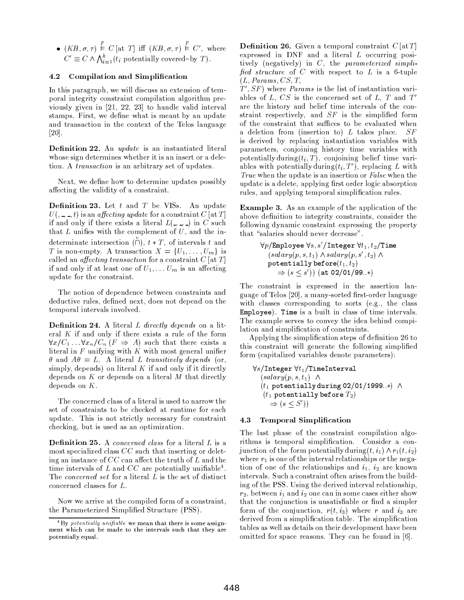•  $(KB, \sigma, \tau) \stackrel{p}{\models} C$  [at *T*] iff  $(KB, \sigma, \tau) \stackrel{p}{\models} C'$ , where  $C' \equiv C \land \bigwedge_{i=1}^k (t_i \text{ potentially covered-by } T)$ .

# 4.2 Compilation and Simplification

In this paragraph, we will discuss an extension of temporal integrity constraint compilation algorithm previously given in  $[21, 22, 23]$  to handle valid interval stamps. First, we define what is meant by an update and transaction in the context of the Telos language  $[20]$ .

Definition 22. An update is an instantiated literal whose sign determines whether it is an insert or a deletion. A *transaction* is an arbitrary set of updates.

Next, we define how to determine updates possibly affecting the validity of a constraint.

**Definition 23.** Let  $t$  and  $T$  be VISs. An update  $U($ , -, -, t) is an *affecting update* for a constraint C [at T] if and only if there exists a literal  $L(\_,\_,\_)$  in C such that  $L$  unifies with the complement of  $U$ , and the indeterminate intersection ( $\tilde{O}$ ),  $t * T$ , of intervals t and T is non-empty. A transaction  $X = \{U_1, \ldots, U_m\}$  is called an *affecting transaction* for a constraint  $C$  [at  $T$ ] if and only if at least one of  $U_1, \ldots U_m$  is an affecting update for the constraint.

The notion of dependence between constraints and deductive rules, defined next, does not depend on the temporal intervals involved.

**Definition 24.** A literal L directly depends on a literal  $K$  if and only if there exists a rule of the form  $\forall x/C_1 \dots \forall x_n/C_n$  ( $F \Rightarrow A$ ) such that there exists a literal in  $F$  unifying with  $K$  with most general unifier  $\theta$  and  $A\theta = L$ . A literal L transitively depends (or, simply, depends) on literal  $K$  if and only if it directly depends on  $K$  or depends on a literal  $M$  that directly depends on  $K$ .

The concerned class of a literal is used to narrow the set of constraints to be checked at runtime for each update. This is not strictly necessary for constraint checking, but is used as an optimization.

**Definition 25.** A concerned class for a literal L is a most specialized class  $CC$  such that inserting or deleting an instance of  $CC$  can affect the truth of L and the time intervals of  $L$  and  $CC$  are potentially unifiable<sup>4</sup>. The *concerned set* for a literal L is the set of distinct concerned classes for  $L$  .

Now we arrive at the compiled form of a constraint, the Parameterized Simplified Structure (PSS).

**Definition 26.** Given a temporal constraint  $C[\text{at }T]$ expressed in DNF and a literal  $L$  occurring positively (negatively) in C, the parameterized simplified structure of  $C$  with respect to  $L$  is a 6-tuple  $(L, *Params*, *CS*, *T*,$ 

 $T', SF$ ) where *Params* is the list of instantiation variables of L,  $CS$  is the concerned set of L, T and  $T'$ are the history and belief time intervals of the constraint respectively, and  $SF$  is the simplified form of the constraint that suffices to be evaluated when a deletion from (insertion to)  $L$  takes place.  $SF$ is derived by replacing instantiation variables with parameters, conjoining history time variables with potentially during  $(t_i, T)$ , conjoining belief time variables with potentially during  $(t_i, T')$ , replacing L with True when the update is an insertion or False when the update is a delete, applying first order logic absorption rules, and applying temporal simplification rules.

**Example 3.** As an example of the application of the above definition to integrity constraints, consider the following dynamic constraint expressing the property that "salaries should never decrease".

$$
\forall p/\texttt{Employee } \forall s, s'/\texttt{Integer } \forall t_1, t_2/\texttt{Time} (salary(p, s, t_1) \land salary(p, s', t_2) \land potentially before(t_1, t_2) 
$$
\Rightarrow (s \leq s')) \text{ (at 02/01/99..*)}
$$
$$

The constraint is expressed in the assertion language of Telos [20], a many-sorted first-order language with classes corresponding to sorts (e.g., the class Employee). Time is a built in class of time intervals. The example serves to convey the idea behind compilation and simplification of constraints.

Applying the simplification steps of definition 26 to this constraint will generate the following simplified form (capitalized variables denote parameters):

$$
\begin{array}{l} \forall s/\texttt{Integer}\ \forall t_1/\texttt{TimeInterval} \\ (salary(p, s, t_1) \ \wedge \\ (t_1 \text{ potentially during 02/01/1999..*)} \ \wedge \\ (t_1 \text{ potentially before } T_2) \\ \Rightarrow (s \leq S')) \end{array}
$$

#### 4.3 **Temporal Simplification**

The last phase of the constraint compilation algorithms is temporal simplification. Consider a conjunction of the form potentially during  $(t, i_1) \wedge r_1(t, i_2)$ where  $r_1$  is one of the interval relationships or the negation of one of the relationships and  $i_1$ ,  $i_2$  are known intervals. Such a constraint often arises from the building of the PSS. Using the derived interval relationship,  $r_2$ , between  $i_1$  and  $i_2$  one can in some cases either show that the conjunction is unsatisfiable or find a simpler form of the conjunction,  $r(t, i_3)$  where r and  $i_3$  are derived from a simplification table. The simplification tables as well as details on their development have been omitted for space reasons. They can be found in [6].

 $4By$  potentially unifiable we mean that there is some assignment which can be made to the intervals such that they are potentially equal.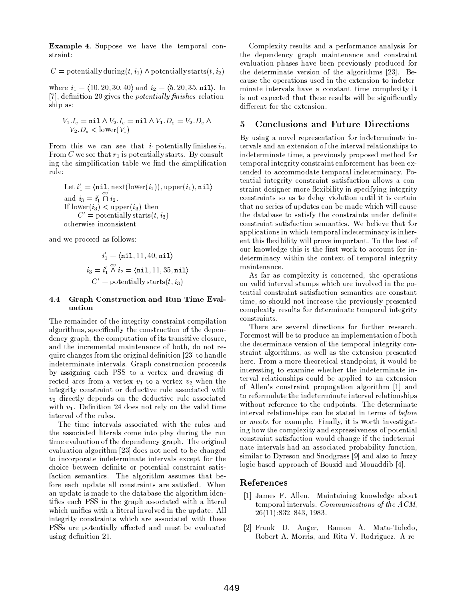**Example 4.** Suppose we have the temporal constraint:

 $C =$  potentially during  $(t, i_1) \wedge$  potentially starts  $(t, i_2)$ 

where  $i_1 = \langle 10, 20, 30, 40 \rangle$  and  $i_2 = \langle 5, 20, 35, \texttt{nil} \rangle$ . In [7], definition 20 gives the *potentially finishes* relationship as:

$$
V_1.I_e = \text{nil} \land V_2.I_e = \text{nil} \land V_1.D_e = V_2.D_e \land V_2.D_s < \text{lower}(V_1)
$$

From this we can see that  $i_1$  potentially finishes  $i_2$ . From C we see that  $r_1$  is potentially starts. By consulting the simplification table we find the simplification rule:

Let 
$$
i'_1 = \langle \text{nil}, \text{next}(\text{lower}(i_1)), \text{upper}(i_1), \text{nil} \rangle
$$
 and  $i_3 = i'_1 \cap i_2$ . If  $\text{lower}(i_3) < \text{upper}(i_3)$  then  $C' = \text{potentially starts}(t, i_3)$  otherwise inconsistent

and we proceed as follows:

$$
i'_1 = \langle \texttt{nil}, 11, 40, \texttt{nil} \rangle
$$
  

$$
i_3 = i'_1 \land i_2 = \langle \texttt{nil}, 11, 35, \texttt{nil} \rangle
$$
  

$$
C' = \text{potentially starts}(t, i_3)
$$

### $4.4$ Graph Construction and Run Time Evaluation

The remainder of the integrity constraint compilation algorithms, specifically the construction of the dependency graph, the computation of its transitive closure, and the incremental maintenance of both, do not require changes from the original definition [23] to handle indeterminate intervals. Graph construction proceeds by assigning each PSS to a vertex and drawing directed arcs from a vertex  $v_1$  to a vertex  $v_2$  when the integrity constraint or deductive rule associated with  $v_2$  directly depends on the deductive rule associated with  $v_1$ . Definition 24 does not rely on the valid time interval of the rules.

The time intervals associated with the rules and the associated literals come into play during the run time evaluation of the dependency graph. The original evaluation algorithm [23] does not need to be changed to incorporate indeterminate intervals except for the choice between definite or potential constraint satisfaction semantics. The algorithm assumes that before each update all constraints are satisfied. When an update is made to the database the algorithm identifies each PSS in the graph associated with a literal which unifies with a literal involved in the update. All integrity constraints which are associated with these PSSs are potentially affected and must be evaluated using definition 21.

Complexity results and a performance analysis for the dependency graph maintenance and constraint evaluation phases have been previously produced for the determinate version of the algorithms [23]. Because the operations used in the extension to indeterminate intervals have a constant time complexity it is not expected that these results will be significantly different for the extension.

### $\overline{5}$ **Conclusions and Future Directions**

By using a novel representation for indeterminate intervals and an extension of the interval relationships to indeterminate time, a previously proposed method for temporal integrity constraint enforcement has been extended to accommodate temporal indeterminacy. Potential integrity constraint satisfaction allows a constraint designer more flexibility in specifying integrity constraints so as to delay violation until it is certain that no series of updates can be made which will cause the database to satisfy the constraints under definite constraint satisfaction semantics. We believe that for applications in which temporal indeterminacy is inherent this flexibility will prove important. To the best of our knowledge this is the first work to account for indeterminacy within the context of temporal integrity maintenance.

As far as complexity is concerned, the operations on valid interval stamps which are involved in the potential constraint satisfaction semantics are constant time, so should not increase the previously presented complexity results for determinate temporal integrity constraints.

There are several directions for further research. Foremost will be to produce an implementation of both the determinate version of the temporal integrity constraint algorithms, as well as the extension presented here. From a more theoretical standpoint, it would be interesting to examine whether the indeterminate interval relationships could be applied to an extension of Allen's constraint propogation algorithm [1] and to reformulate the indeterminate interval relationships without reference to the endpoints. The determinate interval relationships can be stated in terms of before or meets, for example. Finally, it is worth investigating how the complexity and expressiveness of potential constraint satisfaction would change if the indeterminate intervals had an associated probability function, similar to Dyreson and Snodgrass [9] and also to fuzzy logic based approach of Bouzid and Mouaddib [4].

# References

- [1] James F. Allen. Maintaining knowledge about temporal intervals. Communications of the ACM,  $26(11):832-843, 1983.$
- [2] Frank D. Anger, Ramon A. Mata-Toledo, Robert A. Morris, and Rita V. Rodriguez. A re-